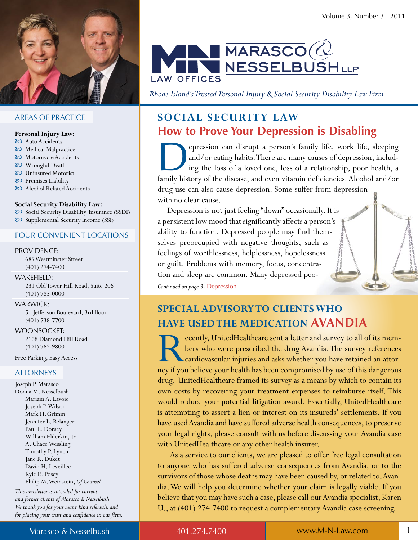

#### **AREAS OF PRACTICE**

#### Personal Injury Law:

- & Auto Accidents
- & Medical Malpractice
- & Motorcycle Accidents
- & Wrongful Death
- & Uninsured Motorist
- & Premises Liability
- & Alcohol Related Accidents

#### **Social Security Disability Law:**

& Social Security Disability Insurance (SSDI) & Supplemental Security Income (SSI)

#### **FOUR CONVENIENT LOCATIONS**

#### **PROVIDENCE:**

685 Westminster Street  $(401)$  274-7400

#### **WAKEFIELD:**

231 Old Tower Hill Road, Suite 206  $(401)$  783-0000

#### **WARWICK:**

51 Jefferson Boulevard, 3rd floor  $(401)$  738-7700

#### **WOONSOCKET:**

2168 Diamond Hill Road  $(401) 762 - 9800$ 

Free Parking, Easy Access

#### **ATTORNEYS**

Joseph P. Marasco Donna M. Nesselbush Mariam A. Lavoie Joseph P. Wilson Mark H. Grimm Jennifer L. Belanger Paul E. Dorsey William Elderkin, Jr. A. Chace Wessling Timothy P. Lynch Jane R. Duket David H. Leveillee Kyle E. Posey Philip M. Weinstein, Of Counsel

This newsletter is intended for current and former clients of Marasco & Nesselbush. We thank you for your many kind referrals, and for placing your trust and confidence in our firm.



Rhode Island's Trusted Personal Injury & Social Security Disability Law Firm

### **SOCIAL SECURITY LAW How to Prove Your Depression is Disabling**

epression can disrupt a person's family life, work life, sleeping and/or eating habits. There are many causes of depression, including the loss of a loved one, loss of a relationship, poor health, a family history of the disease, and even vitamin deficiencies. Alcohol and/or drug use can also cause depression. Some suffer from depression with no clear cause.

Depression is not just feeling "down" occasionally. It is a persistent low mood that significantly affects a person's ability to function. Depressed people may find themselves preoccupied with negative thoughts, such as feelings of worthlessness, helplessness, hopelessness or guilt. Problems with memory, focus, concentration and sleep are common. Many depressed peo-

Continued on page 3- Depression

### **SPECIAL ADVISORY TO CLIENTS WHO HAVE USED THE MEDICATION AVANDIA**

ecently, UnitedHealthcare sent a letter and survey to all of its members who were prescribed the drug Avandia. The survey references cardiovascular injuries and asks whether you have retained an attorney if you believe your health has been compromised by use of this dangerous drug. UnitedHealthcare framed its survey as a means by which to contain its own costs by recovering your treatment expenses to reimburse itself. This would reduce your potential litigation award. Essentially, UnitedHealthcare is attempting to assert a lien or interest on its insureds' settlements. If you have used Avandia and have suffered adverse health consequences, to preserve your legal rights, please consult with us before discussing your Avandia case with UnitedHealthcare or any other health insurer.

As a service to our clients, we are pleased to offer free legal consultation to anyone who has suffered adverse consequences from Avandia, or to the survivors of those whose deaths may have been caused by, or related to, Avandia. We will help you determine whether your claim is legally viable. If you believe that you may have such a case, please call our Avandia specialist, Karen U., at (401) 274-7400 to request a complementary Avandia case screening.

401.274.7400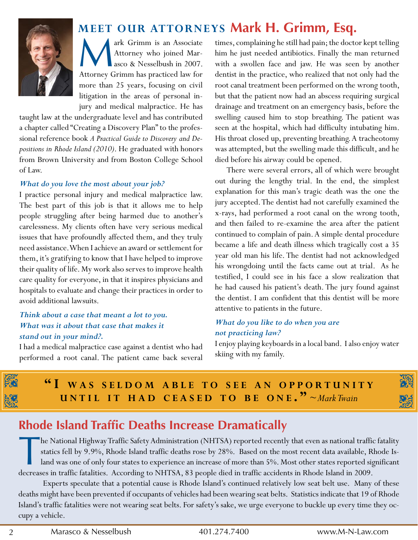

ark Grimm is an Associate Attorney who joined Marasco & Nesselbush in 2007. Attorney Grimm has practiced law for more than 25 years, focusing on civil litigation in the areas of personal injury and medical malpractice. He has

taught law at the undergraduate level and has contributed a chapter called "Creating a Discovery Plan" to the professional reference book A Practical Guide to Discovery and De*positions in Rhode Island (2010)*. He graduated with honors from Brown University and from Boston College School of Law.

### *What do you love the most about your job?*

I practice personal injury and medical malpractice law. The best part of this job is that it allows me to help people struggling after being harmed due to another's carelessness. My clients often have very serious medical issues that have profoundly affected them, and they truly need assistance. When I achieve an award or settlement for them, it's gratifying to know that I have helped to improve their quality of life. My work also serves to improve health care quality for everyone, in that it inspires physicians and hospitals to evaluate and change their practices in order to avoid additional lawsuits.

### *Think about a case that meant a lot to you. What was it about that case that makes it stand out in your mind?.*

I had a medical malpractice case against a dentist who had performed a root canal. The patient came back several

**MEET OUR ATTORNEYS Mark H. Grimm, Esq.**<br>ark Grimm is an Associate times, complaining he still had pain; the doctor attorney who joined Mar-<br>him he just needed antibiotics. Finally the r<br>asco & Nesselbush in 2007. with a s times, complaining he still had pain; the doctor kept telling him he just needed antibiotics. Finally the man returned with a swollen face and jaw. He was seen by another dentist in the practice, who realized that not only had the root canal treatment been performed on the wrong tooth, but that the patient now had an abscess requiring surgical drainage and treatment on an emergency basis, before the swelling caused him to stop breathing. The patient was seen at the hospital, which had difficulty intubating him. His throat closed up, preventing breathing. A tracheotomy was attempted, but the swelling made this difficult, and he died before his airway could be opened.

> There were several errors, all of which were brought out during the lengthy trial. In the end, the simplest explanation for this man's tragic death was the one the jury accepted. The dentist had not carefully examined the x-rays, had performed a root canal on the wrong tooth, and then failed to re-examine the area after the patient continued to complain of pain. A simple dental procedure became a life and death illness which tragically cost a 35 year old man his life. The dentist had not acknowledged his wrongdoing until the facts came out at trial. As he testified, I could see in his face a slow realization that he had caused his patient's death. The jury found against the dentist. I am confident that this dentist will be more attentive to patients in the future.

### *What do you like to do when you are not practicing law?*

I enjoy playing keyboards in a local band. I also enjoy water skiing with my family.



### **Rhode island Traffic Deaths increase Dramatically**

the National Highway Traffic Safety Administration (NHTSA) reported recently that even as national traffic statics fell by 9.9%, Rhode Island traffic deaths rose by 28%. Based on the most recent data available, R land was "he National Highway Traffic Safety Administration (NHTSA) reported recently that even as national traffic fatality statics fell by 9.9%, Rhode Island traffic deaths rose by 28%. Based on the most recent data available, Rhode Island was one of only four states to experience an increase of more than 5%. Most other states reported significant

Experts speculate that a potential cause is Rhode Island's continued relatively low seat belt use. Many of these deaths might have been prevented if occupants of vehicles had been wearing seat belts. Statistics indicate that 19 of Rhode Island's traffic fatalities were not wearing seat belts. For safety's sake, we urge everyone to buckle up every time they occupy a vehicle.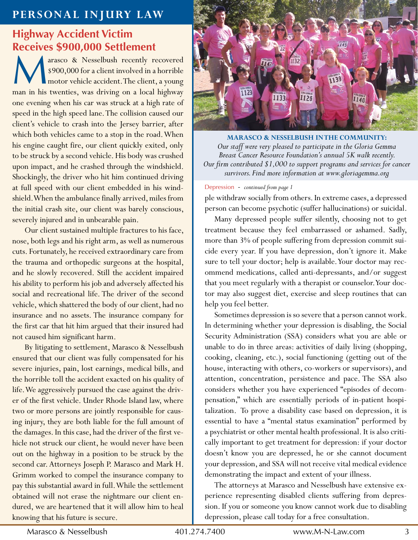### **PERSOnAL InJURY LAW**

# **Highway Accident victim**

**Receives \$900,000 Settlement**<br> **A** arasco & Nesselbush recently response a client involved in a<br>
motor vehicle accident. The client arasco & Nesselbush recently recovered \$900,000 for a client involved in a horrible **I** motor vehicle accident. The client, a young man in his twenties, was driving on a local highway one evening when his car was struck at a high rate of speed in the high speed lane. The collision caused our client's vehicle to crash into the Jersey barrier, after which both vehicles came to a stop in the road. When his engine caught fire, our client quickly exited, only to be struck by a second vehicle. His body was crushed upon impact, and he crashed through the windshield. Shockingly, the driver who hit him continued driving at full speed with our client embedded in his windshield. When the ambulance finally arrived, miles from the initial crash site, our client was barely conscious, severely injured and in unbearable pain.

Our client sustained multiple fractures to his face, nose, both legs and his right arm, as well as numerous cuts. Fortunately, he received extraordinary care from the trauma and orthopedic surgeons at the hospital, and he slowly recovered. Still the accident impaired his ability to perform his job and adversely affected his social and recreational life. The driver of the second vehicle, which shattered the body of our client, had no insurance and no assets. The insurance company for the first car that hit him argued that their insured had not caused him significant harm.

By litigating to settlement, Marasco & Nesselbush ensured that our client was fully compensated for his severe injuries, pain, lost earnings, medical bills, and the horrible toll the accident exacted on his quality of life. We aggressively pursued the case against the driver of the first vehicle. Under Rhode Island law, where two or more persons are jointly responsible for causing injury, they are both liable for the full amount of the damages. In this case, had the driver of the first vehicle not struck our client, he would never have been out on the highway in a position to be struck by the second car. Attorneys Joseph P. Marasco and Mark H. Grimm worked to compel the insurance company to pay this substantial award in full. While the settlement obtained will not erase the nightmare our client endured, we are heartened that it will allow him to heal knowing that his future is secure.



**MARASCO & nESSELbUSh In ThE COMMUnITY:**  *Our staff were very pleased to participate in the Gloria Gemma Breast Cancer Resource Foundation's annual 5K walk recently. Our firm contributed \$1,000 to support programs and services for cancer survivors. Find more information at www.gloriagemma.org*

#### Depression - *continued from page 1*

ple withdraw socially from others. In extreme cases, a depressed person can become psychotic (suffer hallucinations) or suicidal.

Many depressed people suffer silently, choosing not to get treatment because they feel embarrassed or ashamed. Sadly, more than 3% of people suffering from depression commit suicide every year. If you have depression, don't ignore it. Make sure to tell your doctor; help is available. Your doctor may recommend medications, called anti-depressants, and/or suggest that you meet regularly with a therapist or counselor. Your doctor may also suggest diet, exercise and sleep routines that can help you feel better.

Sometimes depression is so severe that a person cannot work. In determining whether your depression is disabling, the Social Security Administration (SSA) considers what you are able or unable to do in three areas: activities of daily living (shopping, cooking, cleaning, etc.), social functioning (getting out of the house, interacting with others, co-workers or supervisors), and attention, concentration, persistence and pace. The SSA also considers whether you have experienced "episodes of decompensation," which are essentially periods of in-patient hospitalization. To prove a disability case based on depression, it is essential to have a "mental status examination" performed by a psychiatrist or other mental health professional. It is also critically important to get treatment for depression: if your doctor doesn't know you are depressed, he or she cannot document your depression, and SSA will not receive vital medical evidence demonstrating the impact and extent of your illness.

The attorneys at Marasco and Nesselbush have extensive experience representing disabled clients suffering from depression. If you or someone you know cannot work due to disabling depression, please call today for a free consultation.